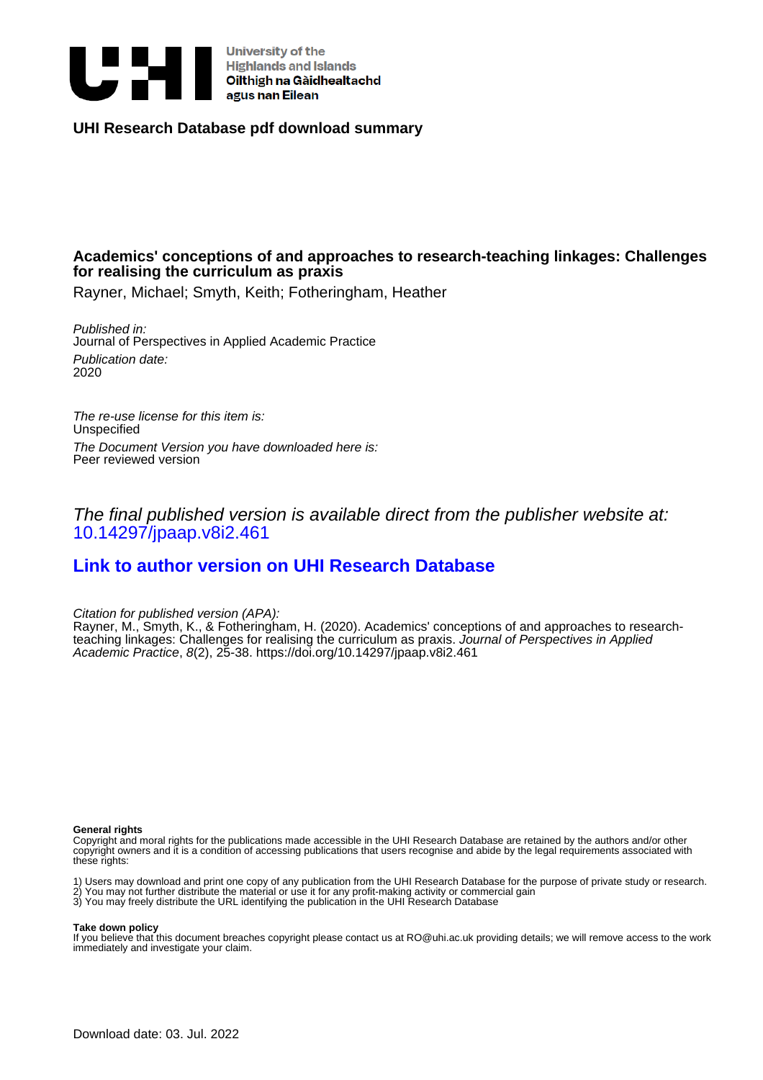

University of the<br>Highlands and Islands<br>Oilthigh na Gàidhealtachd<br>agus nan Eilean **University of the** 

**UHI Research Database pdf download summary**

# **Academics' conceptions of and approaches to research-teaching linkages: Challenges for realising the curriculum as praxis**

Rayner, Michael; Smyth, Keith; Fotheringham, Heather

Published in: Journal of Perspectives in Applied Academic Practice Publication date: 2020

The re-use license for this item is: Unspecified The Document Version you have downloaded here is: Peer reviewed version

The final published version is available direct from the publisher website at: [10.14297/jpaap.v8i2.461](https://doi.org/10.14297/jpaap.v8i2.461)

# **[Link to author version on UHI Research Database](https://pure.uhi.ac.uk/en/publications/33bbdbab-6e9f-4dc6-aaa1-17ba568a5cc7)**

Citation for published version (APA):

Rayner, M., Smyth, K., & Fotheringham, H. (2020). Academics' conceptions of and approaches to researchteaching linkages: Challenges for realising the curriculum as praxis. Journal of Perspectives in Applied Academic Practice, 8(2), 25-38. <https://doi.org/10.14297/jpaap.v8i2.461>

#### **General rights**

Copyright and moral rights for the publications made accessible in the UHI Research Database are retained by the authors and/or other copyright owners and it is a condition of accessing publications that users recognise and abide by the legal requirements associated with these rights:

1) Users may download and print one copy of any publication from the UHI Research Database for the purpose of private study or research. 2) You may not further distribute the material or use it for any profit-making activity or commercial gain

3) You may freely distribute the URL identifying the publication in the UHI Research Database

#### **Take down policy**

If you believe that this document breaches copyright please contact us at RO@uhi.ac.uk providing details; we will remove access to the work immediately and investigate your claim.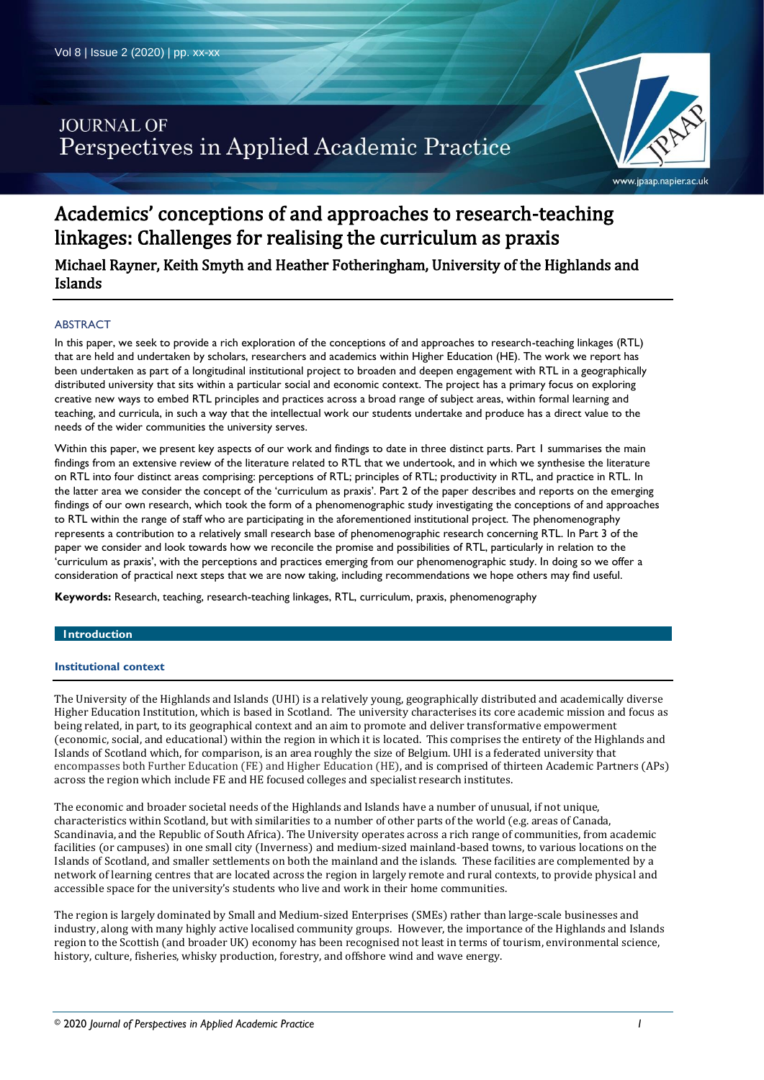# **JOURNAL OF** Perspectives in Applied Academic Practice



# Academics' conceptions of and approaches to research-teaching linkages: Challenges for realising the curriculum as praxis

Michael Rayner, Keith Smyth and Heather Fotheringham, University of the Highlands and Islands

# ABSTRACT

In this paper, we seek to provide a rich exploration of the conceptions of and approaches to research-teaching linkages (RTL) that are held and undertaken by scholars, researchers and academics within Higher Education (HE). The work we report has been undertaken as part of a longitudinal institutional project to broaden and deepen engagement with RTL in a geographically distributed university that sits within a particular social and economic context. The project has a primary focus on exploring creative new ways to embed RTL principles and practices across a broad range of subject areas, within formal learning and teaching, and curricula, in such a way that the intellectual work our students undertake and produce has a direct value to the needs of the wider communities the university serves.

Within this paper, we present key aspects of our work and findings to date in three distinct parts. Part 1 summarises the main findings from an extensive review of the literature related to RTL that we undertook, and in which we synthesise the literature on RTL into four distinct areas comprising: perceptions of RTL; principles of RTL; productivity in RTL, and practice in RTL. In the latter area we consider the concept of the 'curriculum as praxis'. Part 2 of the paper describes and reports on the emerging findings of our own research, which took the form of a phenomenographic study investigating the conceptions of and approaches to RTL within the range of staff who are participating in the aforementioned institutional project. The phenomenography represents a contribution to a relatively small research base of phenomenographic research concerning RTL. In Part 3 of the paper we consider and look towards how we reconcile the promise and possibilities of RTL, particularly in relation to the 'curriculum as praxis', with the perceptions and practices emerging from our phenomenographic study. In doing so we offer a consideration of practical next steps that we are now taking, including recommendations we hope others may find useful.

**Keywords:** Research, teaching, research-teaching linkages, RTL, curriculum, praxis, phenomenography

### **1ntroduction**

### **Institutional context**

The University of the Highlands and Islands (UHI) is a relatively young, geographically distributed and academically diverse Higher Education Institution, which is based in Scotland. The university characterises its core academic mission and focus as being related, in part, to its geographical context and an aim to promote and deliver transformative empowerment (economic, social, and educational) within the region in which it is located. This comprises the entirety of the Highlands and Islands of Scotland which, for comparison, is an area roughly the size of Belgium. UHI is a federated university that encompasses both Further Education (FE) and Higher Education (HE), and is comprised of thirteen Academic Partners (APs) across the region which include FE and HE focused colleges and specialist research institutes.

The economic and broader societal needs of the Highlands and Islands have a number of unusual, if not unique, characteristics within Scotland, but with similarities to a number of other parts of the world (e.g. areas of Canada, Scandinavia, and the Republic of South Africa). The University operates across a rich range of communities, from academic facilities (or campuses) in one small city (Inverness) and medium-sized mainland-based towns, to various locations on the Islands of Scotland, and smaller settlements on both the mainland and the islands. These facilities are complemented by a network of learning centres that are located across the region in largely remote and rural contexts, to provide physical and accessible space for the university's students who live and work in their home communities.

The region is largely dominated by Small and Medium-sized Enterprises (SMEs) rather than large-scale businesses and industry, along with many highly active localised community groups. However, the importance of the Highlands and Islands region to the Scottish (and broader UK) economy has been recognised not least in terms of tourism, environmental science, history, culture, fisheries, whisky production, forestry, and offshore wind and wave energy.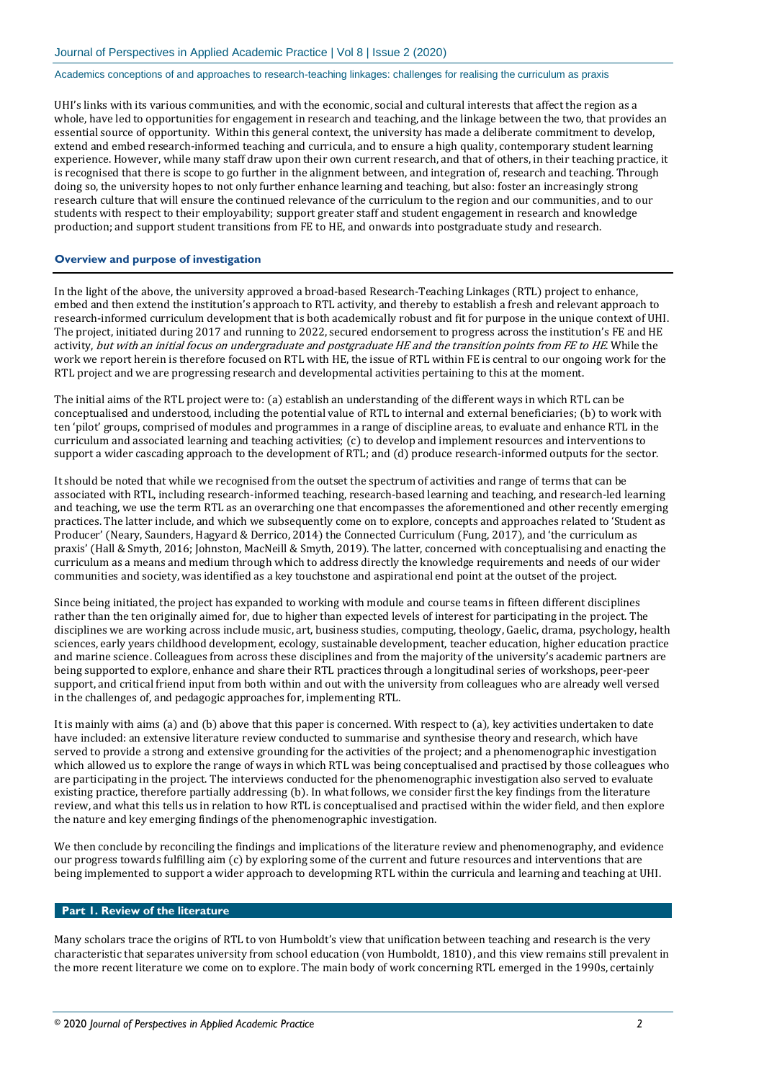UHI's links with its various communities, and with the economic, social and cultural interests that affect the region as a whole, have led to opportunities for engagement in research and teaching, and the linkage between the two, that provides an essential source of opportunity. Within this general context, the university has made a deliberate commitment to develop, extend and embed research-informed teaching and curricula, and to ensure a high quality, contemporary student learning experience. However, while many staff draw upon their own current research, and that of others, in their teaching practice, it is recognised that there is scope to go further in the alignment between, and integration of, research and teaching. Through doing so, the university hopes to not only further enhance learning and teaching, but also: foster an increasingly strong research culture that will ensure the continued relevance of the curriculum to the region and our communities, and to our students with respect to their employability; support greater staff and student engagement in research and knowledge production; and support student transitions from FE to HE, and onwards into postgraduate study and research.

# **Overview and purpose of investigation**

In the light of the above, the university approved a broad-based Research-Teaching Linkages (RTL) project to enhance, embed and then extend the institution's approach to RTL activity, and thereby to establish a fresh and relevant approach to research-informed curriculum development that is both academically robust and fit for purpose in the unique context of UHI. The project, initiated during 2017 and running to 2022, secured endorsement to progress across the institution's FE and HE activity, but with an initial focus on undergraduate and postgraduate HE and the transition points from FE to HE. While the work we report herein is therefore focused on RTL with HE, the issue of RTL within FE is central to our ongoing work for the RTL project and we are progressing research and developmental activities pertaining to this at the moment.

The initial aims of the RTL project were to: (a) establish an understanding of the different ways in which RTL can be conceptualised and understood, including the potential value of RTL to internal and external beneficiaries; (b) to work with ten 'pilot' groups, comprised of modules and programmes in a range of discipline areas, to evaluate and enhance RTL in the curriculum and associated learning and teaching activities; (c) to develop and implement resources and interventions to support a wider cascading approach to the development of RTL; and (d) produce research-informed outputs for the sector.

It should be noted that while we recognised from the outset the spectrum of activities and range of terms that can be associated with RTL, including research-informed teaching, research-based learning and teaching, and research-led learning and teaching, we use the term RTL as an overarching one that encompasses the aforementioned and other recently emerging practices. The latter include, and which we subsequently come on to explore, concepts and approaches related to 'Student as Producer' (Neary, Saunders, Hagyard & Derrico, 2014) the Connected Curriculum (Fung, 2017), and 'the curriculum as praxis' (Hall & Smyth, 2016; Johnston, MacNeill & Smyth, 2019). The latter, concerned with conceptualising and enacting the curriculum as a means and medium through which to address directly the knowledge requirements and needs of our wider communities and society, was identified as a key touchstone and aspirational end point at the outset of the project.

Since being initiated, the project has expanded to working with module and course teams in fifteen different disciplines rather than the ten originally aimed for, due to higher than expected levels of interest for participating in the project. The disciplines we are working across include music, art, business studies, computing, theology, Gaelic, drama, psychology, health sciences, early years childhood development, ecology, sustainable development, teacher education, higher education practice and marine science. Colleagues from across these disciplines and from the majority of the university's academic partners are being supported to explore, enhance and share their RTL practices through a longitudinal series of workshops, peer-peer support, and critical friend input from both within and out with the university from colleagues who are already well versed in the challenges of, and pedagogic approaches for, implementing RTL.

It is mainly with aims (a) and (b) above that this paper is concerned. With respect to (a), key activities undertaken to date have included: an extensive literature review conducted to summarise and synthesise theory and research, which have served to provide a strong and extensive grounding for the activities of the project; and a phenomenographic investigation which allowed us to explore the range of ways in which RTL was being conceptualised and practised by those colleagues who are participating in the project. The interviews conducted for the phenomenographic investigation also served to evaluate existing practice, therefore partially addressing (b). In what follows, we consider first the key findings from the literature review, and what this tells us in relation to how RTL is conceptualised and practised within the wider field, and then explore the nature and key emerging findings of the phenomenographic investigation.

We then conclude by reconciling the findings and implications of the literature review and phenomenography, and evidence our progress towards fulfilling aim (c) by exploring some of the current and future resources and interventions that are being implemented to support a wider approach to developming RTL within the curricula and learning and teaching at UHI.

### **Part 1. Review of the literature**

Many scholars trace the origins of RTL to von Humboldt's view that unification between teaching and research is the very characteristic that separates university from school education (von Humboldt, 1810), and this view remains still prevalent in the more recent literature we come on to explore. The main body of work concerning RTL emerged in the 1990s, certainly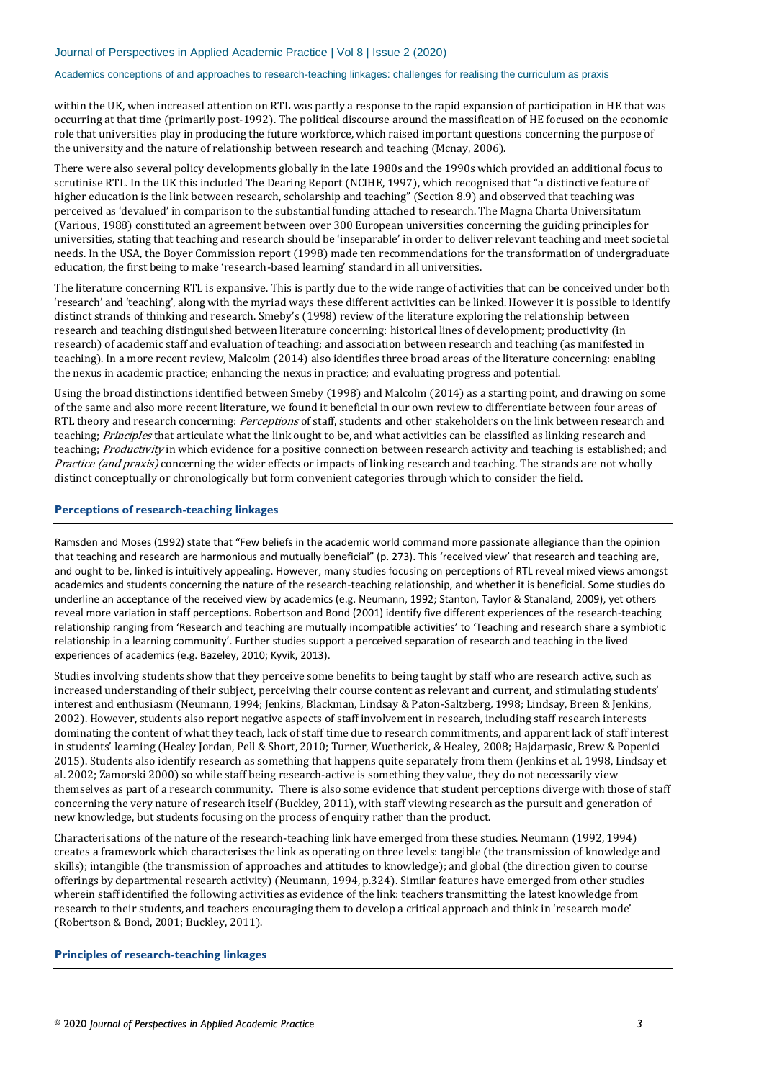within the UK, when increased attention on RTL was partly a response to the rapid expansion of participation in HE that was occurring at that time (primarily post-1992). The political discourse around the massification of HE focused on the economic role that universities play in producing the future workforce, which raised important questions concerning the purpose of the university and the nature of relationship between research and teaching (Mcnay, 2006).

There were also several policy developments globally in the late 1980s and the 1990s which provided an additional focus to scrutinise RTL. In the UK this included The Dearing Report (NCIHE, 1997), which recognised that "a distinctive feature of higher education is the link between research, scholarship and teaching" (Section 8.9) and observed that teaching was perceived as 'devalued' in comparison to the substantial funding attached to research. The Magna Charta Universitatum (Various, 1988) constituted an agreement between over 300 European universities concerning the guiding principles for universities, stating that teaching and research should be 'inseparable' in order to deliver relevant teaching and meet societal needs. In the USA, the Boyer Commission report (1998) made ten recommendations for the transformation of undergraduate education, the first being to make 'research-based learning' standard in all universities.

The literature concerning RTL is expansive. This is partly due to the wide range of activities that can be conceived under both 'research' and 'teaching', along with the myriad ways these different activities can be linked. However it is possible to identify distinct strands of thinking and research. Smeby's (1998) review of the literature exploring the relationship between research and teaching distinguished between literature concerning: historical lines of development; productivity (in research) of academic staff and evaluation of teaching; and association between research and teaching (as manifested in teaching). In a more recent review, Malcolm (2014) also identifies three broad areas of the literature concerning: enabling the nexus in academic practice; enhancing the nexus in practice; and evaluating progress and potential.

Using the broad distinctions identified between Smeby (1998) and Malcolm (2014) as a starting point, and drawing on some of the same and also more recent literature, we found it beneficial in our own review to differentiate between four areas of RTL theory and research concerning: *Perceptions* of staff, students and other stakeholders on the link between research and teaching; Principles that articulate what the link ought to be, and what activities can be classified as linking research and teaching; Productivity in which evidence for a positive connection between research activity and teaching is established; and Practice (and praxis) concerning the wider effects or impacts of linking research and teaching. The strands are not wholly distinct conceptually or chronologically but form convenient categories through which to consider the field.

### **Perceptions of research-teaching linkages**

Ramsden and Moses (1992) state that "Few beliefs in the academic world command more passionate allegiance than the opinion that teaching and research are harmonious and mutually beneficial" (p. 273). This 'received view' that research and teaching are, and ought to be, linked is intuitively appealing. However, many studies focusing on perceptions of RTL reveal mixed views amongst academics and students concerning the nature of the research-teaching relationship, and whether it is beneficial. Some studies do underline an acceptance of the received view by academics (e.g. Neumann, 1992; Stanton, Taylor & Stanaland, 2009), yet others reveal more variation in staff perceptions. Robertson and Bond (2001) identify five different experiences of the research-teaching relationship ranging from 'Research and teaching are mutually incompatible activities' to 'Teaching and research share a symbiotic relationship in a learning community'. Further studies support a perceived separation of research and teaching in the lived experiences of academics (e.g. Bazeley, 2010; Kyvik, 2013).

Studies involving students show that they perceive some benefits to being taught by staff who are research active, such as increased understanding of their subject, perceiving their course content as relevant and current, and stimulating students' interest and enthusiasm (Neumann, 1994; Jenkins, Blackman, Lindsay & Paton-Saltzberg, 1998; Lindsay, Breen & Jenkins, 2002). However, students also report negative aspects of staff involvement in research, including staff research interests dominating the content of what they teach, lack of staff time due to research commitments, and apparent lack of staff interest in students' learning (Healey Jordan, Pell & Short, 2010; Turner, Wuetherick, & Healey, 2008; Hajdarpasic, Brew & Popenici 2015). Students also identify research as something that happens quite separately from them (Jenkins et al. 1998, Lindsay et al. 2002; Zamorski 2000) so while staff being research-active is something they value, they do not necessarily view themselves as part of a research community. There is also some evidence that student perceptions diverge with those of staff concerning the very nature of research itself (Buckley, 2011), with staff viewing research as the pursuit and generation of new knowledge, but students focusing on the process of enquiry rather than the product.

Characterisations of the nature of the research-teaching link have emerged from these studies. Neumann (1992, 1994) creates a framework which characterises the link as operating on three levels: tangible (the transmission of knowledge and skills); intangible (the transmission of approaches and attitudes to knowledge); and global (the direction given to course offerings by departmental research activity) (Neumann, 1994, p.324). Similar features have emerged from other studies wherein staff identified the following activities as evidence of the link: teachers transmitting the latest knowledge from research to their students, and teachers encouraging them to develop a critical approach and think in 'research mode' (Robertson & Bond, 2001; Buckley, 2011).

#### **Principles of research-teaching linkages**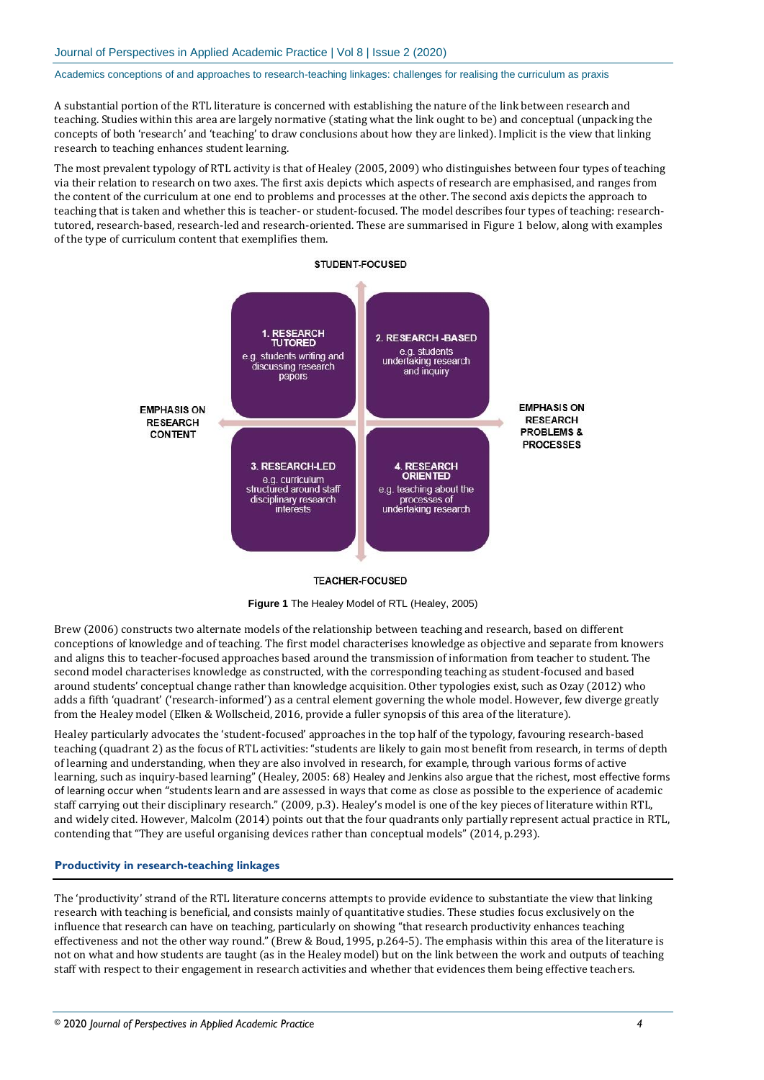A substantial portion of the RTL literature is concerned with establishing the nature of the link between research and teaching. Studies within this area are largely normative (stating what the link ought to be) and conceptual (unpacking the concepts of both 'research' and 'teaching' to draw conclusions about how they are linked). Implicit is the view that linking research to teaching enhances student learning.

The most prevalent typology of RTL activity is that of Healey (2005, 2009) who distinguishes between four types of teaching via their relation to research on two axes. The first axis depicts which aspects of research are emphasised, and ranges from the content of the curriculum at one end to problems and processes at the other. The second axis depicts the approach to teaching that is taken and whether this is teacher- or student-focused. The model describes four types of teaching: researchtutored, research-based, research-led and research-oriented. These are summarised in Figure 1 below, along with examples of the type of curriculum content that exemplifies them.





#### **TEACHER-FOCUSED**



Brew (2006) constructs two alternate models of the relationship between teaching and research, based on different conceptions of knowledge and of teaching. The first model characterises knowledge as objective and separate from knowers and aligns this to teacher-focused approaches based around the transmission of information from teacher to student. The second model characterises knowledge as constructed, with the corresponding teaching as student-focused and based around students' conceptual change rather than knowledge acquisition. Other typologies exist, such as Ozay (2012) who adds a fifth 'quadrant' ('research-informed') as a central element governing the whole model. However, few diverge greatly from the Healey model (Elken & Wollscheid, 2016, provide a fuller synopsis of this area of the literature).

Healey particularly advocates the 'student-focused' approaches in the top half of the typology, favouring research-based teaching (quadrant 2) as the focus of RTL activities: "students are likely to gain most benefit from research, in terms of depth of learning and understanding, when they are also involved in research, for example, through various forms of active learning, such as inquiry-based learning" (Healey, 2005: 68) Healey and Jenkins also argue that the richest, most effective forms of learning occur when "students learn and are assessed in ways that come as close as possible to the experience of academic staff carrying out their disciplinary research." (2009, p.3). Healey's model is one of the key pieces of literature within RTL, and widely cited. However, Malcolm (2014) points out that the four quadrants only partially represent actual practice in RTL, contending that "They are useful organising devices rather than conceptual models" (2014, p.293).

#### **Productivity in research-teaching linkages**

The 'productivity' strand of the RTL literature concerns attempts to provide evidence to substantiate the view that linking research with teaching is beneficial, and consists mainly of quantitative studies. These studies focus exclusively on the influence that research can have on teaching, particularly on showing "that research productivity enhances teaching effectiveness and not the other way round." (Brew & Boud, 1995, p.264-5). The emphasis within this area of the literature is not on what and how students are taught (as in the Healey model) but on the link between the work and outputs of teaching staff with respect to their engagement in research activities and whether that evidences them being effective teachers.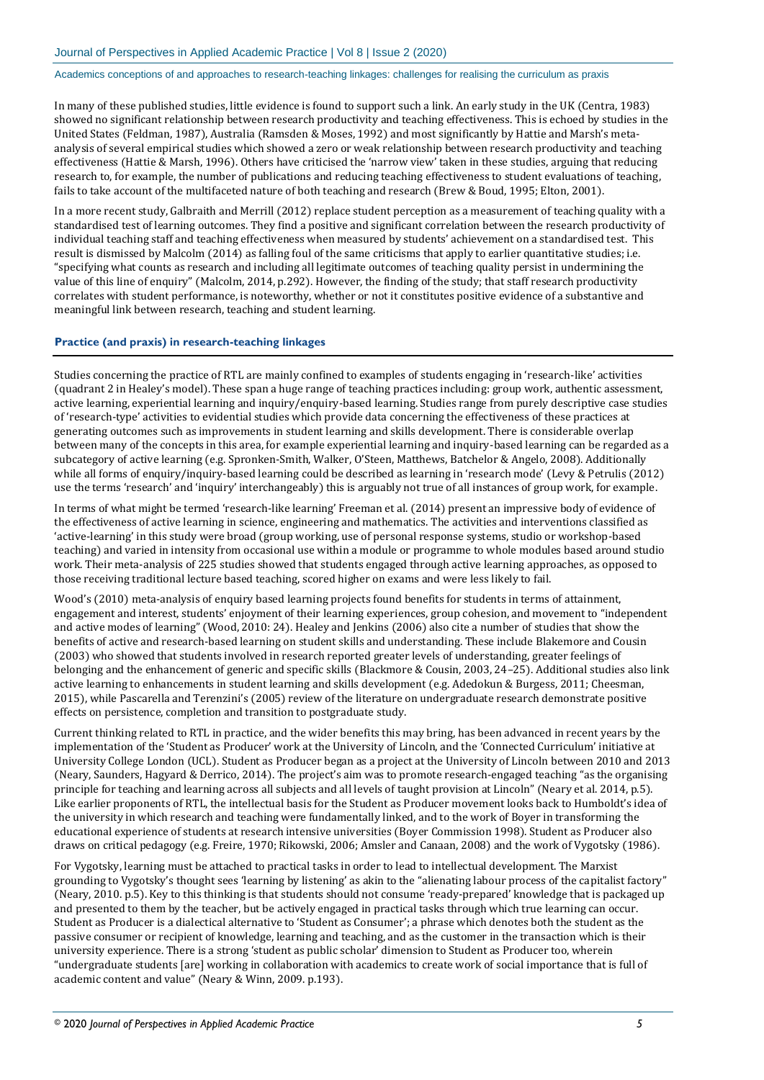In many of these published studies, little evidence is found to support such a link. An early study in the UK (Centra, 1983) showed no significant relationship between research productivity and teaching effectiveness. This is echoed by studies in the United States (Feldman, 1987), Australia (Ramsden & Moses, 1992) and most significantly by Hattie and Marsh's metaanalysis of several empirical studies which showed a zero or weak relationship between research productivity and teaching effectiveness (Hattie & Marsh, 1996). Others have criticised the 'narrow view' taken in these studies, arguing that reducing research to, for example, the number of publications and reducing teaching effectiveness to student evaluations of teaching, fails to take account of the multifaceted nature of both teaching and research (Brew & Boud, 1995; Elton, 2001).

In a more recent study, Galbraith and Merrill (2012) replace student perception as a measurement of teaching quality with a standardised test of learning outcomes. They find a positive and significant correlation between the research productivity of individual teaching staff and teaching effectiveness when measured by students' achievement on a standardised test. This result is dismissed by Malcolm (2014) as falling foul of the same criticisms that apply to earlier quantitative studies; i.e. "specifying what counts as research and including all legitimate outcomes of teaching quality persist in undermining the value of this line of enquiry" (Malcolm, 2014, p.292). However, the finding of the study; that staff research productivity correlates with student performance, is noteworthy, whether or not it constitutes positive evidence of a substantive and meaningful link between research, teaching and student learning.

### **Practice (and praxis) in research-teaching linkages**

Studies concerning the practice of RTL are mainly confined to examples of students engaging in 'research-like' activities (quadrant 2 in Healey's model). These span a huge range of teaching practices including: group work, authentic assessment, active learning, experiential learning and inquiry/enquiry-based learning. Studies range from purely descriptive case studies of 'research-type' activities to evidential studies which provide data concerning the effectiveness of these practices at generating outcomes such as improvements in student learning and skills development. There is considerable overlap between many of the concepts in this area, for example experiential learning and inquiry-based learning can be regarded as a subcategory of active learning (e.g. Spronken-Smith, Walker, O'Steen, Matthews, Batchelor & Angelo, 2008). Additionally while all forms of enquiry/inquiry-based learning could be described as learning in 'research mode' (Levy & Petrulis (2012) use the terms 'research' and 'inquiry' interchangeably) this is arguably not true of all instances of group work, for example.

In terms of what might be termed 'research-like learning' Freeman et al. (2014) present an impressive body of evidence of the effectiveness of active learning in science, engineering and mathematics. The activities and interventions classified as 'active-learning' in this study were broad (group working, use of personal response systems, studio or workshop-based teaching) and varied in intensity from occasional use within a module or programme to whole modules based around studio work. Their meta-analysis of 225 studies showed that students engaged through active learning approaches, as opposed to those receiving traditional lecture based teaching, scored higher on exams and were less likely to fail.

Wood's (2010) meta-analysis of enquiry based learning projects found benefits for students in terms of attainment, engagement and interest, students' enjoyment of their learning experiences, group cohesion, and movement to "independent and active modes of learning" (Wood, 2010: 24). Healey and Jenkins (2006) also cite a number of studies that show the benefits of active and research-based learning on student skills and understanding. These include Blakemore and Cousin (2003) who showed that students involved in research reported greater levels of understanding, greater feelings of belonging and the enhancement of generic and specific skills (Blackmore & Cousin, 2003, 24–25). Additional studies also link active learning to enhancements in student learning and skills development (e.g. Adedokun & Burgess, 2011; Cheesman, 2015), while Pascarella and Terenzini's (2005) review of the literature on undergraduate research demonstrate positive effects on persistence, completion and transition to postgraduate study.

Current thinking related to RTL in practice, and the wider benefits this may bring, has been advanced in recent years by the implementation of the 'Student as Producer' work at the University of Lincoln, and the 'Connected Curriculum' initiative at University College London (UCL). Student as Producer began as a project at the University of Lincoln between 2010 and 2013 (Neary, Saunders, Hagyard & Derrico, 2014). The project's aim was to promote research-engaged teaching "as the organising principle for teaching and learning across all subjects and all levels of taught provision at Lincoln" (Neary et al. 2014, p.5). Like earlier proponents of RTL, the intellectual basis for the Student as Producer movement looks back to Humboldt's idea of the university in which research and teaching were fundamentally linked, and to the work of Boyer in transforming the educational experience of students at research intensive universities (Boyer Commission 1998). Student as Producer also draws on critical pedagogy (e.g. Freire, 1970; Rikowski, 2006; Amsler and Canaan, 2008) and the work of Vygotsky (1986).

For Vygotsky, learning must be attached to practical tasks in order to lead to intellectual development. The Marxist grounding to Vygotsky's thought sees 'learning by listening' as akin to the "alienating labour process of the capitalist factory" (Neary, 2010. p.5). Key to this thinking is that students should not consume 'ready-prepared' knowledge that is packaged up and presented to them by the teacher, but be actively engaged in practical tasks through which true learning can occur. Student as Producer is a dialectical alternative to 'Student as Consumer'; a phrase which denotes both the student as the passive consumer or recipient of knowledge, learning and teaching, and as the customer in the transaction which is their university experience. There is a strong 'student as public scholar' dimension to Student as Producer too, wherein "undergraduate students [are] working in collaboration with academics to create work of social importance that is full of academic content and value" (Neary & Winn, 2009. p.193).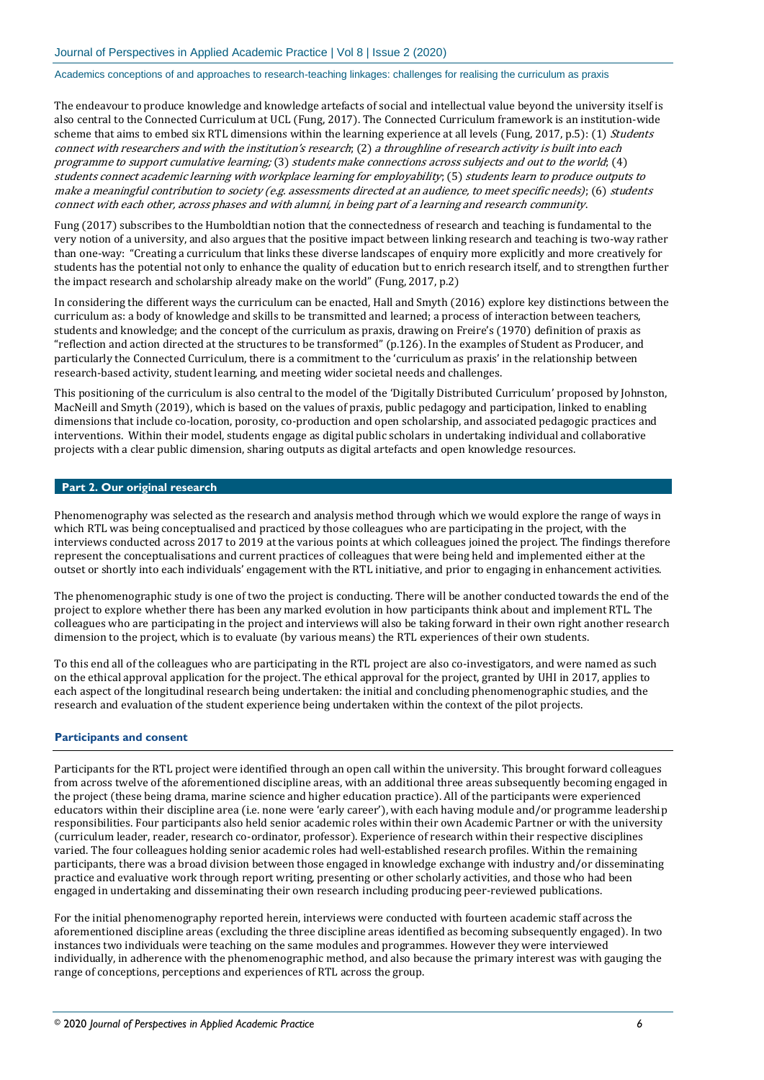The endeavour to produce knowledge and knowledge artefacts of social and intellectual value beyond the university itself is also central to the Connected Curriculum at UCL (Fung, 2017). The Connected Curriculum framework is an institution-wide scheme that aims to embed six RTL dimensions within the learning experience at all levels (Fung, 2017, p.5): (1) Students connect with researchers and with the institution's research; (2) a throughline of research activity is built into each programme to support cumulative learning; (3) students make connections across subjects and out to the world; (4) students connect academic learning with workplace learning for employability; (5) students learn to produce outputs to make a meaningful contribution to society (e.g. assessments directed at an audience, to meet specific needs); (6) students connect with each other, across phases and with alumni, in being part of a learning and research community.

Fung (2017) subscribes to the Humboldtian notion that the connectedness of research and teaching is fundamental to the very notion of a university, and also argues that the positive impact between linking research and teaching is two-way rather than one-way: "Creating a curriculum that links these diverse landscapes of enquiry more explicitly and more creatively for students has the potential not only to enhance the quality of education but to enrich research itself, and to strengthen further the impact research and scholarship already make on the world" (Fung, 2017, p.2)

In considering the different ways the curriculum can be enacted, Hall and Smyth (2016) explore key distinctions between the curriculum as: a body of knowledge and skills to be transmitted and learned; a process of interaction between teachers, students and knowledge; and the concept of the curriculum as praxis, drawing on Freire's (1970) definition of praxis as "reflection and action directed at the structures to be transformed" (p.126). In the examples of Student as Producer, and particularly the Connected Curriculum, there is a commitment to the 'curriculum as praxis' in the relationship between research-based activity, student learning, and meeting wider societal needs and challenges.

This positioning of the curriculum is also central to the model of the 'Digitally Distributed Curriculum' proposed by Johnston, MacNeill and Smyth (2019), which is based on the values of praxis, public pedagogy and participation, linked to enabling dimensions that include co-location, porosity, co-production and open scholarship, and associated pedagogic practices and interventions. Within their model, students engage as digital public scholars in undertaking individual and collaborative projects with a clear public dimension, sharing outputs as digital artefacts and open knowledge resources.

# **Part 2. Our original research**

Phenomenography was selected as the research and analysis method through which we would explore the range of ways in which RTL was being conceptualised and practiced by those colleagues who are participating in the project, with the interviews conducted across 2017 to 2019 at the various points at which colleagues joined the project. The findings therefore represent the conceptualisations and current practices of colleagues that were being held and implemented either at the outset or shortly into each individuals' engagement with the RTL initiative, and prior to engaging in enhancement activities.

The phenomenographic study is one of two the project is conducting. There will be another conducted towards the end of the project to explore whether there has been any marked evolution in how participants think about and implement RTL. The colleagues who are participating in the project and interviews will also be taking forward in their own right another research dimension to the project, which is to evaluate (by various means) the RTL experiences of their own students.

To this end all of the colleagues who are participating in the RTL project are also co-investigators, and were named as such on the ethical approval application for the project. The ethical approval for the project, granted by UHI in 2017, applies to each aspect of the longitudinal research being undertaken: the initial and concluding phenomenographic studies, and the research and evaluation of the student experience being undertaken within the context of the pilot projects.

#### **Participants and consent**

Participants for the RTL project were identified through an open call within the university. This brought forward colleagues from across twelve of the aforementioned discipline areas, with an additional three areas subsequently becoming engaged in the project (these being drama, marine science and higher education practice). All of the participants were experienced educators within their discipline area (i.e. none were 'early career'), with each having module and/or programme leadership responsibilities. Four participants also held senior academic roles within their own Academic Partner or with the university (curriculum leader, reader, research co-ordinator, professor). Experience of research within their respective disciplines varied. The four colleagues holding senior academic roles had well-established research profiles. Within the remaining participants, there was a broad division between those engaged in knowledge exchange with industry and/or disseminating practice and evaluative work through report writing, presenting or other scholarly activities, and those who had been engaged in undertaking and disseminating their own research including producing peer-reviewed publications.

For the initial phenomenography reported herein, interviews were conducted with fourteen academic staff across the aforementioned discipline areas (excluding the three discipline areas identified as becoming subsequently engaged). In two instances two individuals were teaching on the same modules and programmes. However they were interviewed individually, in adherence with the phenomenographic method, and also because the primary interest was with gauging the range of conceptions, perceptions and experiences of RTL across the group.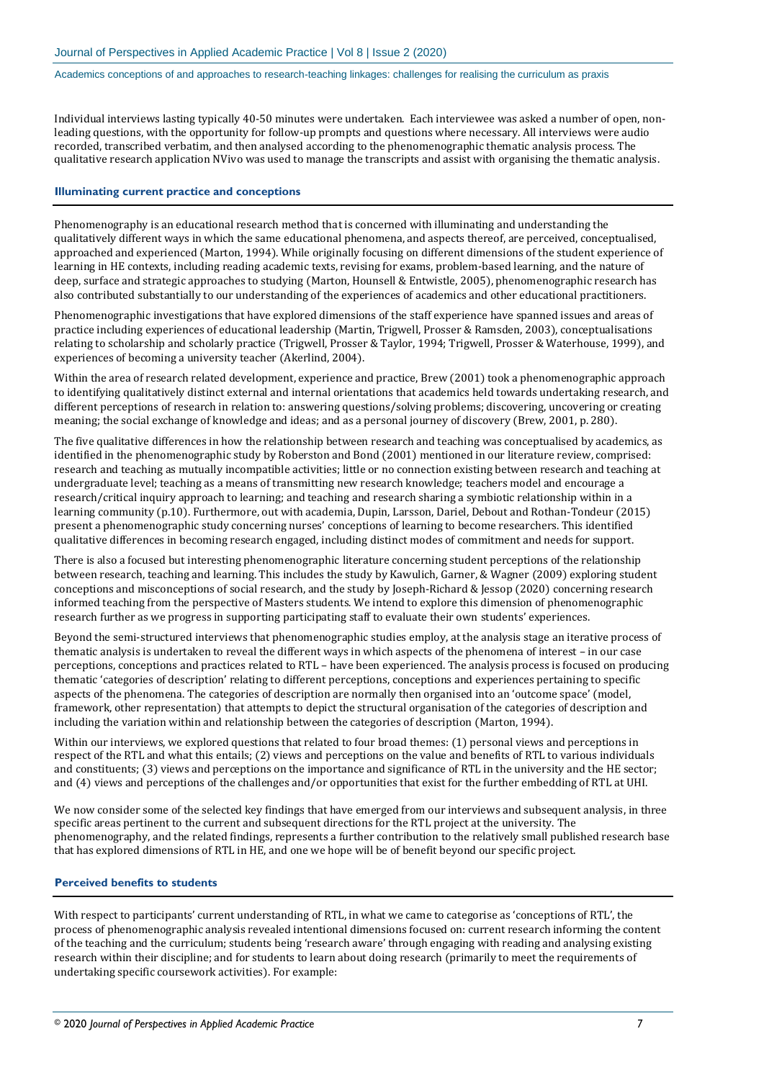Individual interviews lasting typically 40-50 minutes were undertaken. Each interviewee was asked a number of open, nonleading questions, with the opportunity for follow-up prompts and questions where necessary. All interviews were audio recorded, transcribed verbatim, and then analysed according to the phenomenographic thematic analysis process. The qualitative research application NVivo was used to manage the transcripts and assist with organising the thematic analysis.

#### **Illuminating current practice and conceptions**

Phenomenography is an educational research method that is concerned with illuminating and understanding the qualitatively different ways in which the same educational phenomena, and aspects thereof, are perceived, conceptualised, approached and experienced (Marton, 1994). While originally focusing on different dimensions of the student experience of learning in HE contexts, including reading academic texts, revising for exams, problem-based learning, and the nature of deep, surface and strategic approaches to studying (Marton, Hounsell & Entwistle, 2005), phenomenographic research has also contributed substantially to our understanding of the experiences of academics and other educational practitioners.

Phenomenographic investigations that have explored dimensions of the staff experience have spanned issues and areas of practice including experiences of educational leadership (Martin, Trigwell, Prosser & Ramsden, 2003), conceptualisations relating to scholarship and scholarly practice (Trigwell, Prosser & Taylor, 1994; Trigwell, Prosser & Waterhouse, 1999), and experiences of becoming a university teacher (Akerlind, 2004).

Within the area of research related development, experience and practice, Brew (2001) took a phenomenographic approach to identifying qualitatively distinct external and internal orientations that academics held towards undertaking research, and different perceptions of research in relation to: answering questions/solving problems; discovering, uncovering or creating meaning; the social exchange of knowledge and ideas; and as a personal journey of discovery (Brew, 2001, p. 280).

The five qualitative differences in how the relationship between research and teaching was conceptualised by academics, as identified in the phenomenographic study by Roberston and Bond (2001) mentioned in our literature review, comprised: research and teaching as mutually incompatible activities; little or no connection existing between research and teaching at undergraduate level; teaching as a means of transmitting new research knowledge; teachers model and encourage a research/critical inquiry approach to learning; and teaching and research sharing a symbiotic relationship within in a learning community (p.10). Furthermore, out with academia, Dupin, Larsson, Dariel, Debout and Rothan-Tondeur (2015) present a phenomenographic study concerning nurses' conceptions of learning to become researchers. This identified qualitative differences in becoming research engaged, including distinct modes of commitment and needs for support.

There is also a focused but interesting phenomenographic literature concerning student perceptions of the relationship between research, teaching and learning. This includes the study by Kawulich, Garner, & Wagner (2009) exploring student conceptions and misconceptions of social research, and the study by Joseph-Richard & Jessop (2020) concerning research informed teaching from the perspective of Masters students. We intend to explore this dimension of phenomenographic research further as we progress in supporting participating staff to evaluate their own students' experiences.

Beyond the semi-structured interviews that phenomenographic studies employ, at the analysis stage an iterative process of thematic analysis is undertaken to reveal the different ways in which aspects of the phenomena of interest – in our case perceptions, conceptions and practices related to RTL – have been experienced. The analysis process is focused on producing thematic 'categories of description' relating to different perceptions, conceptions and experiences pertaining to specific aspects of the phenomena. The categories of description are normally then organised into an 'outcome space' (model, framework, other representation) that attempts to depict the structural organisation of the categories of description and including the variation within and relationship between the categories of description (Marton, 1994).

Within our interviews, we explored questions that related to four broad themes: (1) personal views and perceptions in respect of the RTL and what this entails; (2) views and perceptions on the value and benefits of RTL to various individuals and constituents; (3) views and perceptions on the importance and significance of RTL in the university and the HE sector; and (4) views and perceptions of the challenges and/or opportunities that exist for the further embedding of RTL at UHI.

We now consider some of the selected key findings that have emerged from our interviews and subsequent analysis, in three specific areas pertinent to the current and subsequent directions for the RTL project at the university. The phenomenography, and the related findings, represents a further contribution to the relatively small published research base that has explored dimensions of RTL in HE, and one we hope will be of benefit beyond our specific project.

### **Perceived benefits to students**

With respect to participants' current understanding of RTL, in what we came to categorise as 'conceptions of RTL', the process of phenomenographic analysis revealed intentional dimensions focused on: current research informing the content of the teaching and the curriculum; students being 'research aware' through engaging with reading and analysing existing research within their discipline; and for students to learn about doing research (primarily to meet the requirements of undertaking specific coursework activities). For example: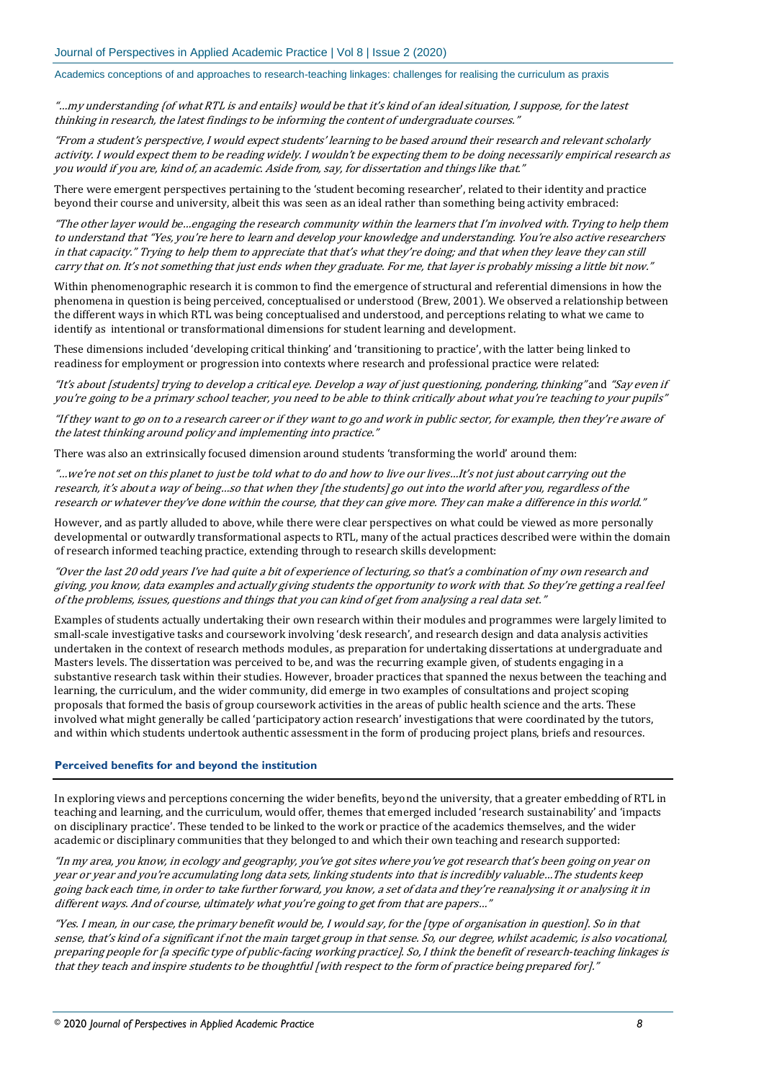"…my understanding {of what RTL is and entails} would be that it's kind of an ideal situation, I suppose, for the latest thinking in research, the latest findings to be informing the content of undergraduate courses."

"From a student's perspective, I would expect students' learning to be based around their research and relevant scholarly activity. I would expect them to be reading widely. I wouldn't be expecting them to be doing necessarily empirical research as you would if you are, kind of, an academic. Aside from, say, for dissertation and things like that."

There were emergent perspectives pertaining to the 'student becoming researcher', related to their identity and practice beyond their course and university, albeit this was seen as an ideal rather than something being activity embraced:

"The other layer would be…engaging the research community within the learners that I'm involved with. Trying to help them to understand that "Yes, you're here to learn and develop your knowledge and understanding. You're also active researchers in that capacity." Trying to help them to appreciate that that's what they're doing; and that when they leave they can still carry that on. It's not something that just ends when they graduate. For me, that layer is probably missing a little bit now."

Within phenomenographic research it is common to find the emergence of structural and referential dimensions in how the phenomena in question is being perceived, conceptualised or understood (Brew, 2001). We observed a relationship between the different ways in which RTL was being conceptualised and understood, and perceptions relating to what we came to identify as intentional or transformational dimensions for student learning and development.

These dimensions included 'developing critical thinking' and 'transitioning to practice', with the latter being linked to readiness for employment or progression into contexts where research and professional practice were related:

"It's about [students] trying to develop a critical eye. Develop a way of just questioning, pondering, thinking" and "Say even if you're going to be a primary school teacher, you need to be able to think critically about what you're teaching to your pupils"

"If they want to go on to a research career or if they want to go and work in public sector, for example, then they're aware of the latest thinking around policy and implementing into practice."

There was also an extrinsically focused dimension around students 'transforming the world' around them:

"…we're not set on this planet to just be told what to do and how to live our lives…It's not just about carrying out the research, it's about a way of being…so that when they [the students] go out into the world after you, regardless of the research or whatever they've done within the course, that they can give more. They can make a difference in this world."

However, and as partly alluded to above, while there were clear perspectives on what could be viewed as more personally developmental or outwardly transformational aspects to RTL, many of the actual practices described were within the domain of research informed teaching practice, extending through to research skills development:

"Over the last 20 odd years I've had quite a bit of experience of lecturing, so that's a combination of my own research and giving, you know, data examples and actually giving students the opportunity to work with that. So they're getting a real feel of the problems, issues, questions and things that you can kind of get from analysing a real data set."

Examples of students actually undertaking their own research within their modules and programmes were largely limited to small-scale investigative tasks and coursework involving 'desk research', and research design and data analysis activities undertaken in the context of research methods modules, as preparation for undertaking dissertations at undergraduate and Masters levels. The dissertation was perceived to be, and was the recurring example given, of students engaging in a substantive research task within their studies. However, broader practices that spanned the nexus between the teaching and learning, the curriculum, and the wider community, did emerge in two examples of consultations and project scoping proposals that formed the basis of group coursework activities in the areas of public health science and the arts. These involved what might generally be called 'participatory action research' investigations that were coordinated by the tutors, and within which students undertook authentic assessment in the form of producing project plans, briefs and resources.

### **Perceived benefits for and beyond the institution**

In exploring views and perceptions concerning the wider benefits, beyond the university, that a greater embedding of RTL in teaching and learning, and the curriculum, would offer, themes that emerged included 'research sustainability' and 'impacts on disciplinary practice'. These tended to be linked to the work or practice of the academics themselves, and the wider academic or disciplinary communities that they belonged to and which their own teaching and research supported:

"In my area, you know, in ecology and geography, you've got sites where you've got research that's been going on year on year or year and you're accumulating long data sets, linking students into that is incredibly valuable…The students keep going back each time, in order to take further forward, you know, a set of data and they're reanalysing it or analysing it in different ways. And of course, ultimately what you're going to get from that are papers…"

"Yes. I mean, in our case, the primary benefit would be, I would say, for the [type of organisation in question]. So in that sense, that's kind of a significant if not the main target group in that sense. So, our degree, whilst academic, is also vocational, preparing people for [a specific type of public-facing working practice]. So, I think the benefit of research-teaching linkages is that they teach and inspire students to be thoughtful [with respect to the form of practice being prepared for]."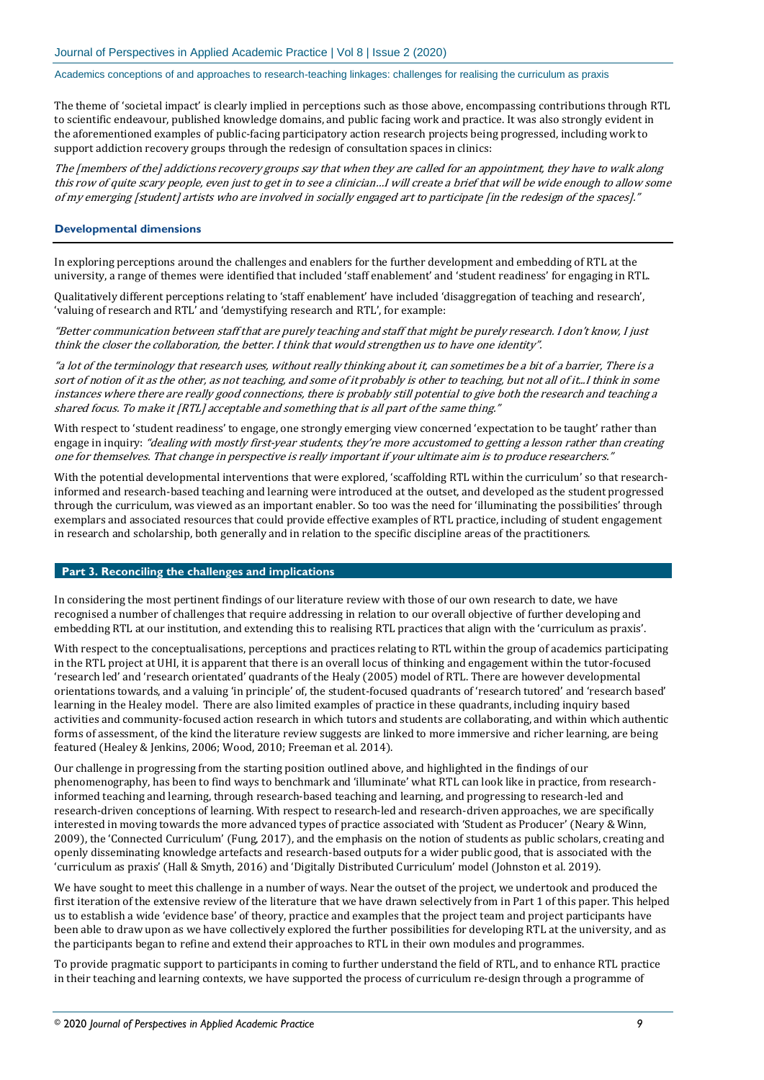The theme of 'societal impact' is clearly implied in perceptions such as those above, encompassing contributions through RTL to scientific endeavour, published knowledge domains, and public facing work and practice. It was also strongly evident in the aforementioned examples of public-facing participatory action research projects being progressed, including work to support addiction recovery groups through the redesign of consultation spaces in clinics:

The [members of the] addictions recovery groups say that when they are called for an appointment, they have to walk along this row of quite scary people, even just to get in to see a clinician…I will create a brief that will be wide enough to allow some of my emerging [student] artists who are involved in socially engaged art to participate [in the redesign of the spaces]."

# **Developmental dimensions**

In exploring perceptions around the challenges and enablers for the further development and embedding of RTL at the university, a range of themes were identified that included 'staff enablement' and 'student readiness' for engaging in RTL.

Qualitatively different perceptions relating to 'staff enablement' have included 'disaggregation of teaching and research', 'valuing of research and RTL' and 'demystifying research and RTL', for example:

"Better communication between staff that are purely teaching and staff that might be purely research. I don't know, I just think the closer the collaboration, the better. I think that would strengthen us to have one identity".

"a lot of the terminology that research uses, without really thinking about it, can sometimes be a bit of a barrier, There is a sort of notion of it as the other, as not teaching, and some of it probably is other to teaching, but not all of it...I think in some instances where there are really good connections, there is probably still potential to give both the research and teaching a shared focus. To make it [RTL] acceptable and something that is all part of the same thing."

With respect to 'student readiness' to engage, one strongly emerging view concerned 'expectation to be taught' rather than engage in inquiry: "dealing with mostly first-year students, they're more accustomed to getting a lesson rather than creating one for themselves. That change in perspective is really important if your ultimate aim is to produce researchers."

With the potential developmental interventions that were explored, 'scaffolding RTL within the curriculum' so that researchinformed and research-based teaching and learning were introduced at the outset, and developed as the student progressed through the curriculum, was viewed as an important enabler. So too was the need for 'illuminating the possibilities' through exemplars and associated resources that could provide effective examples of RTL practice, including of student engagement in research and scholarship, both generally and in relation to the specific discipline areas of the practitioners.

#### **Part 3. Reconciling the challenges and implications**

In considering the most pertinent findings of our literature review with those of our own research to date, we have recognised a number of challenges that require addressing in relation to our overall objective of further developing and embedding RTL at our institution, and extending this to realising RTL practices that align with the 'curriculum as praxis'.

With respect to the conceptualisations, perceptions and practices relating to RTL within the group of academics participating in the RTL project at UHI, it is apparent that there is an overall locus of thinking and engagement within the tutor-focused 'research led' and 'research orientated' quadrants of the Healy (2005) model of RTL. There are however developmental orientations towards, and a valuing 'in principle' of, the student-focused quadrants of 'research tutored' and 'research based' learning in the Healey model. There are also limited examples of practice in these quadrants, including inquiry based activities and community-focused action research in which tutors and students are collaborating, and within which authentic forms of assessment, of the kind the literature review suggests are linked to more immersive and richer learning, are being featured (Healey & Jenkins, 2006; Wood, 2010; Freeman et al. 2014).

Our challenge in progressing from the starting position outlined above, and highlighted in the findings of our phenomenography, has been to find ways to benchmark and 'illuminate' what RTL can look like in practice, from researchinformed teaching and learning, through research-based teaching and learning, and progressing to research-led and research-driven conceptions of learning. With respect to research-led and research-driven approaches, we are specifically interested in moving towards the more advanced types of practice associated with 'Student as Producer' (Neary & Winn, 2009), the 'Connected Curriculum' (Fung, 2017), and the emphasis on the notion of students as public scholars, creating and openly disseminating knowledge artefacts and research-based outputs for a wider public good, that is associated with the 'curriculum as praxis' (Hall & Smyth, 2016) and 'Digitally Distributed Curriculum' model (Johnston et al. 2019).

We have sought to meet this challenge in a number of ways. Near the outset of the project, we undertook and produced the first iteration of the extensive review of the literature that we have drawn selectively from in Part 1 of this paper. This helped us to establish a wide 'evidence base' of theory, practice and examples that the project team and project participants have been able to draw upon as we have collectively explored the further possibilities for developing RTL at the university, and as the participants began to refine and extend their approaches to RTL in their own modules and programmes.

To provide pragmatic support to participants in coming to further understand the field of RTL, and to enhance RTL practice in their teaching and learning contexts, we have supported the process of curriculum re-design through a programme of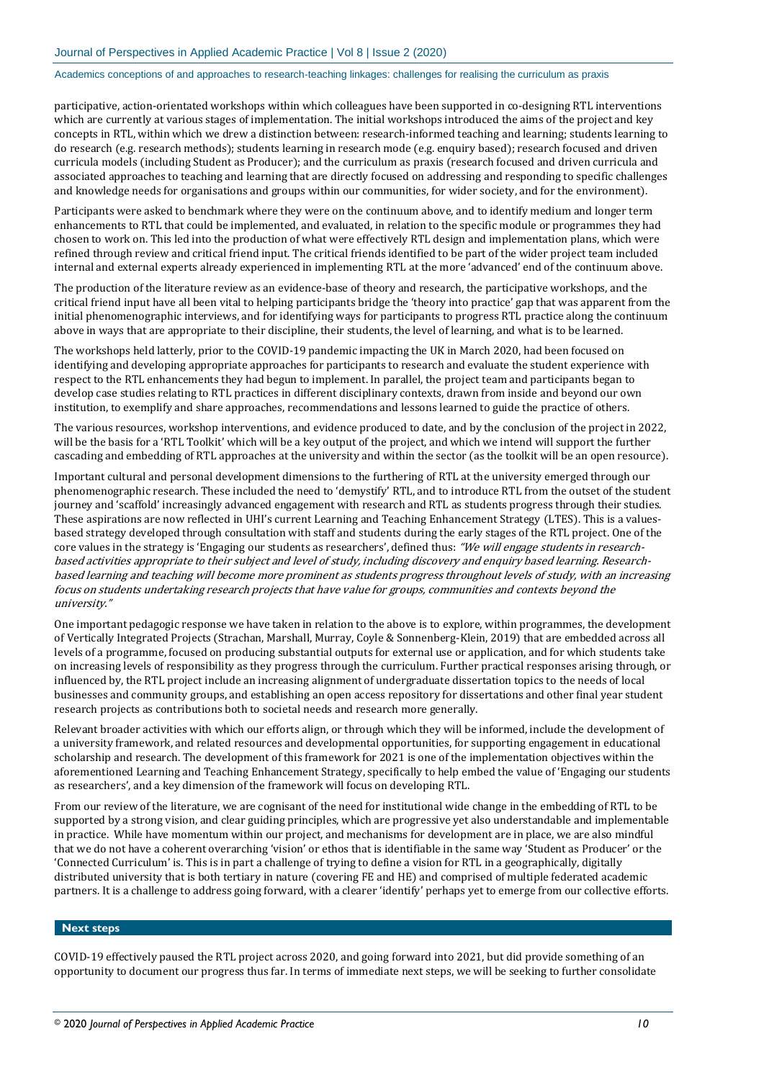participative, action-orientated workshops within which colleagues have been supported in co-designing RTL interventions which are currently at various stages of implementation. The initial workshops introduced the aims of the project and key concepts in RTL, within which we drew a distinction between: research-informed teaching and learning; students learning to do research (e.g. research methods); students learning in research mode (e.g. enquiry based); research focused and driven curricula models (including Student as Producer); and the curriculum as praxis (research focused and driven curricula and associated approaches to teaching and learning that are directly focused on addressing and responding to specific challenges and knowledge needs for organisations and groups within our communities, for wider society, and for the environment).

Participants were asked to benchmark where they were on the continuum above, and to identify medium and longer term enhancements to RTL that could be implemented, and evaluated, in relation to the specific module or programmes they had chosen to work on. This led into the production of what were effectively RTL design and implementation plans, which were refined through review and critical friend input. The critical friends identified to be part of the wider project team included internal and external experts already experienced in implementing RTL at the more 'advanced' end of the continuum above.

The production of the literature review as an evidence-base of theory and research, the participative workshops, and the critical friend input have all been vital to helping participants bridge the 'theory into practice' gap that was apparent from the initial phenomenographic interviews, and for identifying ways for participants to progress RTL practice along the continuum above in ways that are appropriate to their discipline, their students, the level of learning, and what is to be learned.

The workshops held latterly, prior to the COVID-19 pandemic impacting the UK in March 2020, had been focused on identifying and developing appropriate approaches for participants to research and evaluate the student experience with respect to the RTL enhancements they had begun to implement. In parallel, the project team and participants began to develop case studies relating to RTL practices in different disciplinary contexts, drawn from inside and beyond our own institution, to exemplify and share approaches, recommendations and lessons learned to guide the practice of others.

The various resources, workshop interventions, and evidence produced to date, and by the conclusion of the project in 2022, will be the basis for a 'RTL Toolkit' which will be a key output of the project, and which we intend will support the further cascading and embedding of RTL approaches at the university and within the sector (as the toolkit will be an open resource).

Important cultural and personal development dimensions to the furthering of RTL at the university emerged through our phenomenographic research. These included the need to 'demystify' RTL, and to introduce RTL from the outset of the student journey and 'scaffold' increasingly advanced engagement with research and RTL as students progress through their studies. These aspirations are now reflected in UHI's current Learning and Teaching Enhancement Strategy (LTES). This is a valuesbased strategy developed through consultation with staff and students during the early stages of the RTL project. One of the core values in the strategy is 'Engaging our students as researchers', defined thus: "We will engage students in researchbased activities appropriate to their subject and level of study, including discovery and enquiry based learning. Researchbased learning and teaching will become more prominent as students progress throughout levels of study, with an increasing focus on students undertaking research projects that have value for groups, communities and contexts beyond the university."

One important pedagogic response we have taken in relation to the above is to explore, within programmes, the development of Vertically Integrated Projects (Strachan, Marshall, Murray, Coyle & Sonnenberg-Klein, 2019) that are embedded across all levels of a programme, focused on producing substantial outputs for external use or application, and for which students take on increasing levels of responsibility as they progress through the curriculum. Further practical responses arising through, or influenced by, the RTL project include an increasing alignment of undergraduate dissertation topics to the needs of local businesses and community groups, and establishing an open access repository for dissertations and other final year student research projects as contributions both to societal needs and research more generally.

Relevant broader activities with which our efforts align, or through which they will be informed, include the development of a university framework, and related resources and developmental opportunities, for supporting engagement in educational scholarship and research. The development of this framework for 2021 is one of the implementation objectives within the aforementioned Learning and Teaching Enhancement Strategy, specifically to help embed the value of 'Engaging our students as researchers', and a key dimension of the framework will focus on developing RTL.

From our review of the literature, we are cognisant of the need for institutional wide change in the embedding of RTL to be supported by a strong vision, and clear guiding principles, which are progressive yet also understandable and implementable in practice. While have momentum within our project, and mechanisms for development are in place, we are also mindful that we do not have a coherent overarching 'vision' or ethos that is identifiable in the same way 'Student as Producer' or the 'Connected Curriculum' is. This is in part a challenge of trying to define a vision for RTL in a geographically, digitally distributed university that is both tertiary in nature (covering FE and HE) and comprised of multiple federated academic partners. It is a challenge to address going forward, with a clearer 'identify' perhaps yet to emerge from our collective efforts.

### **Next steps**

COVID-19 effectively paused the RTL project across 2020, and going forward into 2021, but did provide something of an opportunity to document our progress thus far. In terms of immediate next steps, we will be seeking to further consolidate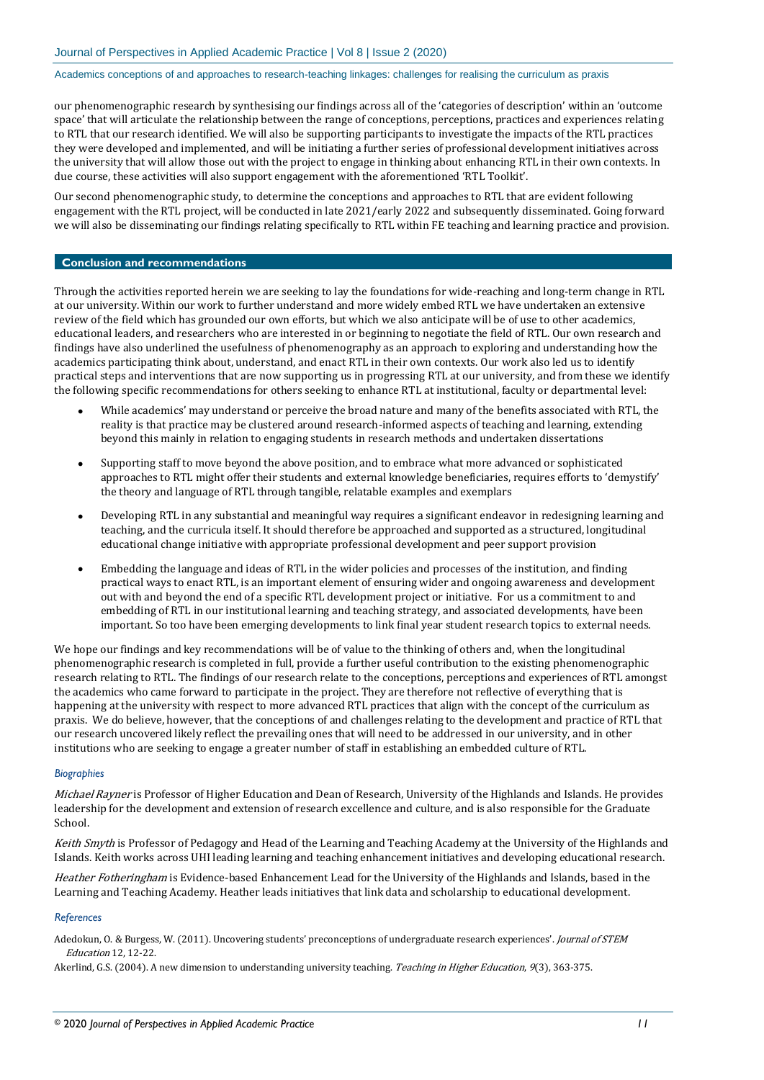our phenomenographic research by synthesising our findings across all of the 'categories of description' within an 'outcome space' that will articulate the relationship between the range of conceptions, perceptions, practices and experiences relating to RTL that our research identified. We will also be supporting participants to investigate the impacts of the RTL practices they were developed and implemented, and will be initiating a further series of professional development initiatives across the university that will allow those out with the project to engage in thinking about enhancing RTL in their own contexts. In due course, these activities will also support engagement with the aforementioned 'RTL Toolkit'.

Our second phenomenographic study, to determine the conceptions and approaches to RTL that are evident following engagement with the RTL project, will be conducted in late 2021/early 2022 and subsequently disseminated. Going forward we will also be disseminating our findings relating specifically to RTL within FE teaching and learning practice and provision.

# **Conclusion and recommendations**

Through the activities reported herein we are seeking to lay the foundations for wide-reaching and long-term change in RTL at our university. Within our work to further understand and more widely embed RTL we have undertaken an extensive review of the field which has grounded our own efforts, but which we also anticipate will be of use to other academics, educational leaders, and researchers who are interested in or beginning to negotiate the field of RTL. Our own research and findings have also underlined the usefulness of phenomenography as an approach to exploring and understanding how the academics participating think about, understand, and enact RTL in their own contexts. Our work also led us to identify practical steps and interventions that are now supporting us in progressing RTL at our university, and from these we identify the following specific recommendations for others seeking to enhance RTL at institutional, faculty or departmental level:

- While academics' may understand or perceive the broad nature and many of the benefits associated with RTL, the reality is that practice may be clustered around research-informed aspects of teaching and learning, extending beyond this mainly in relation to engaging students in research methods and undertaken dissertations
- Supporting staff to move beyond the above position, and to embrace what more advanced or sophisticated approaches to RTL might offer their students and external knowledge beneficiaries, requires efforts to 'demystify' the theory and language of RTL through tangible, relatable examples and exemplars
- Developing RTL in any substantial and meaningful way requires a significant endeavor in redesigning learning and teaching, and the curricula itself. It should therefore be approached and supported as a structured, longitudinal educational change initiative with appropriate professional development and peer support provision
- Embedding the language and ideas of RTL in the wider policies and processes of the institution, and finding practical ways to enact RTL, is an important element of ensuring wider and ongoing awareness and development out with and beyond the end of a specific RTL development project or initiative. For us a commitment to and embedding of RTL in our institutional learning and teaching strategy, and associated developments, have been important. So too have been emerging developments to link final year student research topics to external needs.

We hope our findings and key recommendations will be of value to the thinking of others and, when the longitudinal phenomenographic research is completed in full, provide a further useful contribution to the existing phenomenographic research relating to RTL. The findings of our research relate to the conceptions, perceptions and experiences of RTL amongst the academics who came forward to participate in the project. They are therefore not reflective of everything that is happening at the university with respect to more advanced RTL practices that align with the concept of the curriculum as praxis. We do believe, however, that the conceptions of and challenges relating to the development and practice of RTL that our research uncovered likely reflect the prevailing ones that will need to be addressed in our university, and in other institutions who are seeking to engage a greater number of staff in establishing an embedded culture of RTL.

#### *Biographies*

Michael Rayner is Professor of Higher Education and Dean of Research, University of the Highlands and Islands. He provides leadership for the development and extension of research excellence and culture, and is also responsible for the Graduate School.

Keith Smyth is Professor of Pedagogy and Head of the Learning and Teaching Academy at the University of the Highlands and Islands. Keith works across UHI leading learning and teaching enhancement initiatives and developing educational research.

Heather Fotheringham is Evidence-based Enhancement Lead for the University of the Highlands and Islands, based in the Learning and Teaching Academy. Heather leads initiatives that link data and scholarship to educational development.

#### *References*

Adedokun, O. & Burgess, W. (2011). Uncovering students' preconceptions of undergraduate research experiences'. Journal of STEM Education 12, 12-22.

Akerlind, G.S. (2004). A new dimension to understanding university teaching. Teaching in Higher Education, 9(3), 363-375.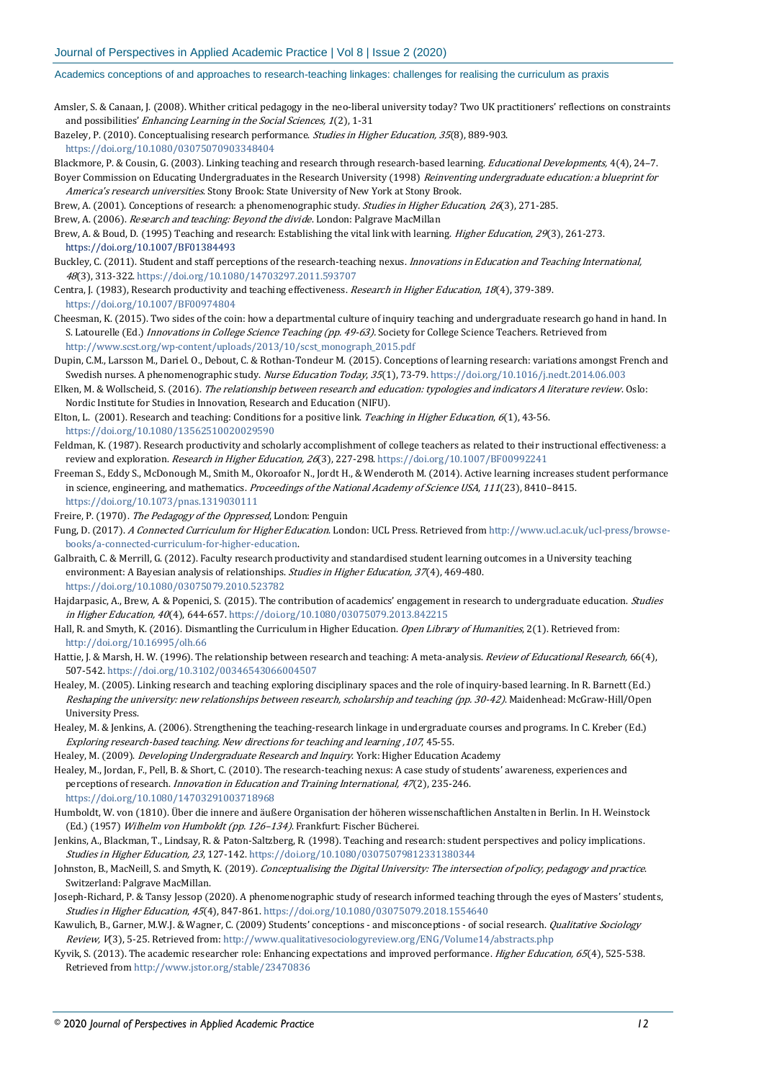- Amsler, S. & Canaan, J. (2008). Whither critical pedagogy in the neo-liberal university today? Two UK practitioners' reflections on constraints and possibilities' Enhancing Learning in the Social Sciences, <sup>1</sup>(2), 1-31
- Bazeley, P. (2010). Conceptualising research performance. Studies in Higher Education, 35(8), 889-903.

<https://doi.org/10.1080/03075070903348404>

- Blackmore, P. & Cousin, G. (2003). Linking teaching and research through research-based learning. *Educational Developments*, 4(4), 24-7. Boyer Commission on Educating Undergraduates in the Research University (1998) Reinventing undergraduate education: a blueprint for America's research universities. Stony Brook: State University of New York at Stony Brook.
- Brew, A. (2001). Conceptions of research: a phenomenographic study. Studies in Higher Education, 26(3), 271-285.
- Brew, A. (2006). Research and teaching: Beyond the divide. London: Palgrave MacMillan
- Brew, A. & Boud, D. (1995) Teaching and research: Establishing the vital link with learning. *Higher Education*, 29(3), 261-273. <https://doi.org/10.1007/BF01384493>
- Buckley, C. (2011). Student and staff perceptions of the research-teaching nexus. *Innovations in Education and Teaching International*, <sup>48</sup>(3), 313-322[. https://doi.org/10.1080/14703297.2011.593707](https://doi.org/10.1080/14703297.2011.593707)
- Centra, J. (1983), Research productivity and teaching effectiveness. Research in Higher Education, 18(4), 379-389. <https://doi.org/10.1007/BF00974804>
- Cheesman, K. (2015). Two sides of the coin: how a departmental culture of inquiry teaching and undergraduate research go hand in hand. In S. Latourelle (Ed.) Innovations in College Science Teaching (pp. 49-63). Society for College Science Teachers. Retrieved from [http://www.scst.org/wp-content/uploads/2013/10/scst\\_monograph\\_2015.pdf](http://www.scst.org/wp-content/uploads/2013/10/scst_monograph_2015.pdf)
- Dupin, C.M., Larsson M., Dariel. O., Debout, C. & Rothan-Tondeur M. (2015). Conceptions of learning research: variations amongst French and Swedish nurses. A phenomenographic study. Nurse Education Today, 35(1), 73-79[. https://doi.org/10.1016/j.nedt.2014.06.003](https://doi.org/10.1016/j.nedt.2014.06.003)
- Elken, M. & Wollscheid, S. (2016). The relationship between research and education: typologies and indicators A literature review. Oslo: Nordic Institute for Studies in Innovation, Research and Education (NIFU).
- Elton, L. (2001). Research and teaching: Conditions for a positive link. Teaching in Higher Education, 6(1), 43-56. <https://doi.org/10.1080/13562510020029590>
- Feldman, K. (1987). Research productivity and scholarly accomplishment of college teachers as related to their instructional effectiveness: a review and exploration. Research in Higher Education, <sup>26</sup>(3), 227-298[. https://doi.org/10.1007/BF00992241](https://doi.org/10.1007/BF00992241)
- Freeman S., Eddy S., McDonough M., Smith M., Okoroafor N., Jordt H., & Wenderoth M. (2014). Active learning increases student performance in science, engineering, and mathematics. Proceedings of the National Academy of Science USA, 111(23), 8410-8415. <https://doi.org/10.1073/pnas.1319030111>
- Freire, P. (1970). The Pedagogy of the Oppressed, London: Penguin
- Fung, D. (2017). A Connected Curriculum for Higher Education. London: UCL Press. Retrieved from [http://www.ucl.ac.uk/ucl-press/browse](http://www.ucl.ac.uk/ucl-press/browse-books/a-connected-curriculum-for-higher-education)[books/a-connected-curriculum-for-higher-education.](http://www.ucl.ac.uk/ucl-press/browse-books/a-connected-curriculum-for-higher-education)
- Galbraith, C. & Merrill, G. (2012). Faculty research productivity and standardised student learning outcomes in a University teaching environment: A Bayesian analysis of relationships. *Studies in Higher Education*, 37(4), 469-480. <https://doi.org/10.1080/03075079.2010.523782>
- Hajdarpasic, A., Brew, A. & Popenici, S. (2015). The contribution of academics' engagement in research to undergraduate education. *Studies* in Higher Education, <sup>40</sup>(4), 644-657[. https://doi.org/10.1080/03075079.2013.842215](https://doi.org/10.1080/03075079.2013.842215)
- Hall, R. and Smyth, K. (2016). Dismantling the Curriculum in Higher Education. Open Library of Humanities, 2(1). Retrieved from: <http://doi.org/10.16995/olh.66>
- Hattie, J. & Marsh, H. W. (1996). The relationship between research and teaching: A meta-analysis. Review of Educational Research, 66(4), 507-542[. https://doi.org/10.3102/00346543066004507](https://doi.org/10.3102/00346543066004507)
- Healey, M. (2005). Linking research and teaching exploring disciplinary spaces and the role of inquiry-based learning. In R. Barnett (Ed.) Reshaping the university: new relationships between research, scholarship and teaching (pp. 30-42). Maidenhead: McGraw-Hill/Open University Press.
- Healey, M. & Jenkins, A. (2006). Strengthening the teaching-research linkage in undergraduate courses and programs. In C. Kreber (Ed.) Exploring research-based teaching. New directions for teaching and learning ,107, 45-55.

Healey, M. (2009). *Developing Undergraduate Research and Inquiry*. York: Higher Education Academy

- Healey, M., Jordan, F., Pell, B. & Short, C. (2010). The research-teaching nexus: A case study of students' awareness, experiences and perceptions of research. *Innovation in Education and Training International, 47*(2), 235-246. <https://doi.org/10.1080/14703291003718968>
- Humboldt, W. von (1810). Über die innere and äußere Organisation der höheren wissenschaftlichen Anstalten in Berlin. In H. Weinstock (Ed.) (1957) Wilhelm von Humboldt (pp. 126-134). Frankfurt: Fischer Bücherei.
- Jenkins, A., Blackman, T., Lindsay, R. & Paton-Saltzberg, R. (1998). Teaching and research: student perspectives and policy implications. Studies in Higher Education, 23, 127-142[. https://doi.org/10.1080/03075079812331380344](https://doi.org/10.1080/03075079812331380344)
- Johnston, B., MacNeill, S. and Smyth, K. (2019). Conceptualising the Digital University: The intersection of policy, pedagogy and practice. Switzerland: Palgrave MacMillan.
- Joseph-Richard, P. & Tansy Jessop (2020). A phenomenographic study of research informed teaching through the eyes of Masters' students, Studies in Higher Education, 45(4), 847-861[. https://doi.org/10.1080/03075079.2018.1554640](https://doi.org/10.1080/03075079.2018.1554640)
- Kawulich, B., Garner, M.W.J. & Wagner, C. (2009) Students' conceptions and misconceptions of social research. Qualitative Sociology Review, V(3), 5-25. Retrieved from[: http://www.qualitativesociologyreview.org/ENG/Volume14/abstracts.php](http://www.qualitativesociologyreview.org/ENG/Volume14/abstracts.php)
- Kyvik, S. (2013). The academic researcher role: Enhancing expectations and improved performance. Higher Education, 65(4), 525-538. Retrieved fro[m http://www.jstor.org/stable/23470836](http://www.jstor.org/stable/23470836)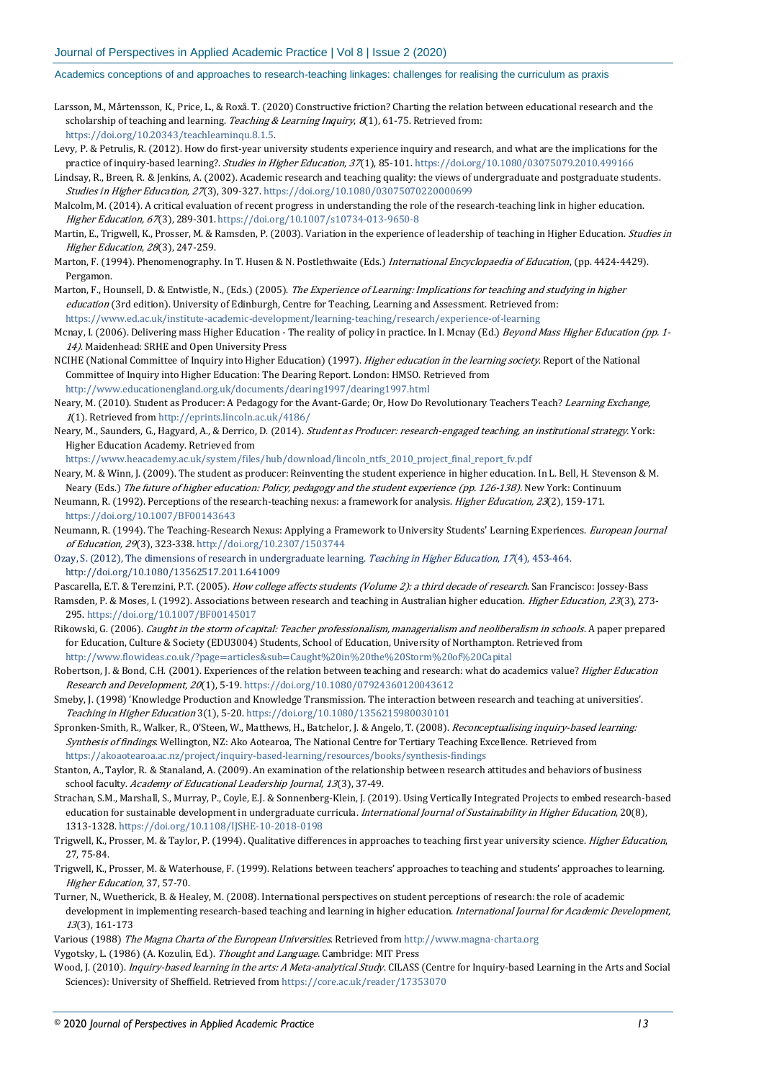- Larsson, M., Mårtensson, K., Price, L., & Roxå. T. (2020) Constructive friction? Charting the relation between educational research and the scholarship of teaching and learning. Teaching & Learning Inquiry,  $8(1)$ , 61-75. Retrieved from: [https://doi.org/10.20343/teachlearninqu.8.1.5.](https://doi.org/10.20343/teachlearninqu.8.1.5)
- Levy, P. & Petrulis, R. (2012). How do first-year university students experience inquiry and research, and what are the implications for the practice of inquiry-based learning?. Studies in Higher Education, 37(1), 85-101[. https://doi.org/10.1080/03075079.2010.499166](https://doi.org/10.1080/03075079.2010.499166)
- Lindsay, R., Breen, R. & Jenkins, A. (2002). Academic research and teaching quality: the views of undergraduate and postgraduate students. Studies in Higher Education, <sup>27</sup>(3), 309-327[. https://doi.org/10.1080/03075070220000699](https://doi.org/10.1080/03075070220000699)
- Malcolm, M. (2014). A critical evaluation of recent progress in understanding the role of the research-teaching link in higher education. Higher Education, <sup>67</sup>(3), 289-301[. https://doi.org/10.1007/s10734-013-9650-8](https://doi.org/10.1007/s10734-013-9650-8)
- Martin, E., Trigwell, K., Prosser, M. & Ramsden, P. (2003). Variation in the experience of leadership of teaching in Higher Education. Studies in Higher Education, 28(3), 247-259.
- Marton, F. (1994). Phenomenography. In T. Husen & N. Postlethwaite (Eds.) International Encyclopaedia of Education, (pp. 4424-4429). Pergamon.
- Marton, F., Hounsell, D. & Entwistle, N., (Eds.) (2005). The Experience of Learning: Implications for teaching and studying in higher education (3rd edition). University of Edinburgh, Centre for Teaching, Learning and Assessment. Retrieved from: <https://www.ed.ac.uk/institute-academic-development/learning-teaching/research/experience-of-learning>
- Mcnay, I. (2006). Delivering mass Higher Education The reality of policy in practice. In I. Mcnay (Ed.) Beyond Mass Higher Education (pp. 1-14). Maidenhead: SRHE and Open University Press
- NCIHE (National Committee of Inquiry into Higher Education) (1997). *Higher education in the learning society*. Report of the National Committee of Inquiry into Higher Education: The Dearing Report. London: HMSO. Retrieved from <http://www.educationengland.org.uk/documents/dearing1997/dearing1997.html>
- Neary, M. (2010). Student as Producer: A Pedagogy for the Avant-Garde; Or, How Do Revolutionary Teachers Teach? Learning Exchange, <sup>1</sup>(1). Retrieved from <http://eprints.lincoln.ac.uk/4186/>
- Neary, M., Saunders, G., Hagyard, A., & Derrico, D. (2014). Student as Producer: research-engaged teaching, an institutional strategy. York: Higher Education Academy. Retrieved from

[https://www.heacademy.ac.uk/system/files/hub/download/lincoln\\_ntfs\\_2010\\_project\\_final\\_report\\_fv.pdf](https://www.heacademy.ac.uk/system/files/hub/download/lincoln_ntfs_2010_project_final_report_fv.pdf)

- Neary, M. & Winn, J. (2009). The student as producer: Reinventing the student experience in higher education. In L. Bell, H. Stevenson & M. Neary (Eds.) The future of higher education: Policy, pedagogy and the student experience (pp. 126-138). New York: Continuum
- Neumann, R. (1992). Perceptions of the research-teaching nexus: a framework for analysis. Higher Education, <sup>23</sup>(2), 159-171. <https://doi.org/10.1007/BF00143643>
- Neumann, R. (1994). The Teaching-Research Nexus: Applying a Framework to University Students' Learning Experiences. European Journal of Education, <sup>29</sup>(3), 323-338[. http://doi.org/10.2307/1503744](http://doi.org/10.2307/1503744)
- Ozay, S. (2012), The dimensions of research in undergraduate learning. Teaching in Higher Education, 17(4), 453-464. <http://doi.org/10.1080/13562517.2011.641009>
- Pascarella, E.T. & Terenzini, P.T. (2005). How college affects students (Volume 2): a third decade of research. San Francisco: Jossey-Bass
- Ramsden, P. & Moses, I. (1992). Associations between research and teaching in Australian higher education. *Higher Education*, 23(3), 273-295[. https://doi.org/10.1007/BF00145017](https://doi.org/10.1007/BF00145017)
- Rikowski, G. (2006). Caught in the storm of capital: Teacher professionalism, managerialism and neoliberalism in schools. A paper prepared for Education, Culture & Society (EDU3004) Students, School of Education, University of Northampton. Retrieved from <http://www.flowideas.co.uk/?page=articles&sub=Caught%20in%20the%20Storm%20of%20Capital>
- Robertson, J. & Bond, C.H. (2001). Experiences of the relation between teaching and research: what do academics value? Higher Education Research and Development, 20(1), 5-19[. https://doi.org/10.1080/07924360120043612](https://doi.org/10.1080/07924360120043612)
- Smeby, J. (1998) 'Knowledge Production and Knowledge Transmission. The interaction between research and teaching at universities'. Teaching in Higher Education 3(1), 5-20[. https://doi.org/10.1080/1356215980030101](https://doi.org/10.1080/1356215980030101)
- Spronken-Smith, R., Walker, R., O'Steen, W., Matthews, H., Batchelor, J. & Angelo, T. (2008). Reconceptualising inquiry-based learning: Synthesis of findings. Wellington, NZ: Ako Aotearoa, The National Centre for Tertiary Teaching Excellence. Retrieved from <https://akoaotearoa.ac.nz/project/inquiry-based-learning/resources/books/synthesis-findings>
- Stanton, A., Taylor, R. & Stanaland, A. (2009). An examination of the relationship between research attitudes and behaviors of business school faculty. Academy of Educational Leadership Journal, 13(3), 37-49.
- Strachan, S.M., Marshall, S., Murray, P., Coyle, E.J. & Sonnenberg-Klein, J. (2019). Using Vertically Integrated Projects to embed research-based education for sustainable development in undergraduate curricula. International Journal of Sustainability in Higher Education, 20(8), 1313-1328[. https://doi.org/10.1108/IJSHE-10-2018-0198](https://doi.org/10.1108/IJSHE-10-2018-0198)
- Trigwell, K., Prosser, M. & Taylor, P. (1994). Qualitative differences in approaches to teaching first year university science. *Higher Education*, 27, 75-84.
- Trigwell, K., Prosser, M. & Waterhouse, F. (1999). Relations between teachers' approaches to teaching and students' approaches to learning. Higher Education, 37, 57-70.
- Turner, N., Wuetherick, B. & Healey, M. (2008). International perspectives on student perceptions of research: the role of academic development in implementing research-based teaching and learning in higher education. International Journal for Academic Development, <sup>13</sup>(3), 161-173
- Various (1988) The Magna Charta of the European Universities. Retrieved from [http://www.magna-charta.org](http://www.magna-charta.org/)
- Vygotsky, L. (1986) (A. Kozulin, Ed.). Thought and Language. Cambridge: MIT Press
- Wood, J. (2010). Inquiry-based learning in the arts: A Meta-analytical Study. CILASS (Centre for Inquiry-based Learning in the Arts and Social Sciences): University of Sheffield. Retrieved fro[m https://core.ac.uk/reader/17353070](https://core.ac.uk/reader/17353070)